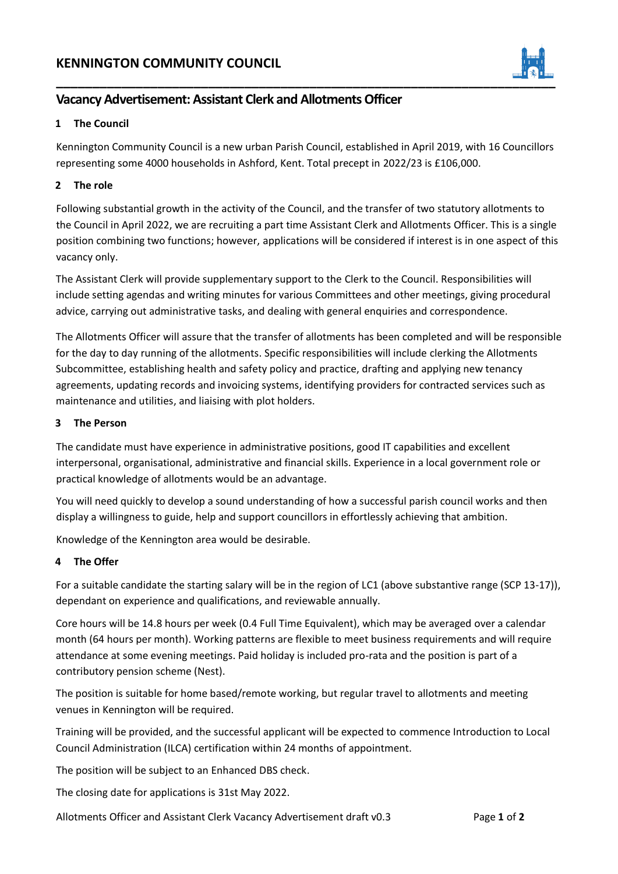# **KENNINGTON COMMUNITY COUNCIL**



## **Vacancy Advertisement: Assistant Clerk and Allotments Officer**

#### **1 The Council**

Kennington Community Council is a new urban Parish Council, established in April 2019, with 16 Councillors representing some 4000 households in Ashford, Kent. Total precept in 2022/23 is £106,000.

#### **2 The role**

Following substantial growth in the activity of the Council, and the transfer of two statutory allotments to the Council in April 2022, we are recruiting a part time Assistant Clerk and Allotments Officer. This is a single position combining two functions; however, applications will be considered if interest is in one aspect of this vacancy only.

The Assistant Clerk will provide supplementary support to the Clerk to the Council. Responsibilities will include setting agendas and writing minutes for various Committees and other meetings, giving procedural advice, carrying out administrative tasks, and dealing with general enquiries and correspondence.

The Allotments Officer will assure that the transfer of allotments has been completed and will be responsible for the day to day running of the allotments. Specific responsibilities will include clerking the Allotments Subcommittee, establishing health and safety policy and practice, drafting and applying new tenancy agreements, updating records and invoicing systems, identifying providers for contracted services such as maintenance and utilities, and liaising with plot holders.

#### **3 The Person**

The candidate must have experience in administrative positions, good IT capabilities and excellent interpersonal, organisational, administrative and financial skills. Experience in a local government role or practical knowledge of allotments would be an advantage.

You will need quickly to develop a sound understanding of how a successful parish council works and then display a willingness to guide, help and support councillors in effortlessly achieving that ambition.

Knowledge of the Kennington area would be desirable.

### **4 The Offer**

For a suitable candidate the starting salary will be in the region of LC1 (above substantive range (SCP 13-17)), dependant on experience and qualifications, and reviewable annually.

Core hours will be 14.8 hours per week (0.4 Full Time Equivalent), which may be averaged over a calendar month (64 hours per month). Working patterns are flexible to meet business requirements and will require attendance at some evening meetings. Paid holiday is included pro-rata and the position is part of a contributory pension scheme (Nest).

The position is suitable for home based/remote working, but regular travel to allotments and meeting venues in Kennington will be required.

Training will be provided, and the successful applicant will be expected to commence Introduction to Local Council Administration (ILCA) certification within 24 months of appointment.

The position will be subject to an Enhanced DBS check.

The closing date for applications is 31st May 2022.

Allotments Officer and Assistant Clerk Vacancy Advertisement draft v0.3 Page **1** of **2**